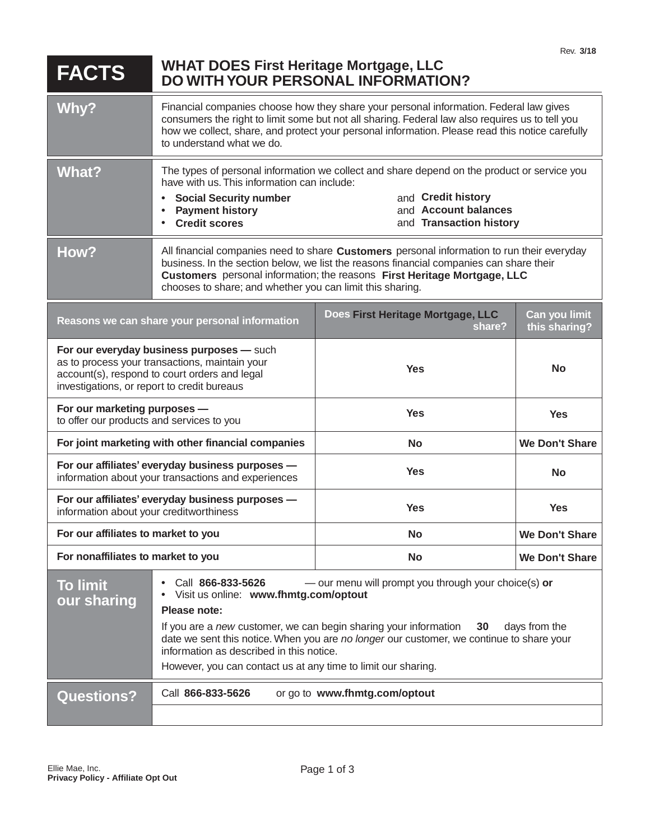| <b>FACTS</b>                                                                                                                                                                                | <b>WHAT DOES First Heritage Mortgage, LLC</b>                                                                                                                                                                                                                                                                                                                                                                                          | <b>DO WITH YOUR PERSONAL INFORMATION?</b>   | Rev. 3/18                      |
|---------------------------------------------------------------------------------------------------------------------------------------------------------------------------------------------|----------------------------------------------------------------------------------------------------------------------------------------------------------------------------------------------------------------------------------------------------------------------------------------------------------------------------------------------------------------------------------------------------------------------------------------|---------------------------------------------|--------------------------------|
| Why?                                                                                                                                                                                        | Financial companies choose how they share your personal information. Federal law gives<br>consumers the right to limit some but not all sharing. Federal law also requires us to tell you<br>how we collect, share, and protect your personal information. Please read this notice carefully<br>to understand what we do.                                                                                                              |                                             |                                |
| <b>What?</b>                                                                                                                                                                                | The types of personal information we collect and share depend on the product or service you<br>have with us. This information can include:<br>and Credit history<br><b>Social Security number</b><br>and Account balances<br><b>Payment history</b><br>and Transaction history<br><b>Credit scores</b>                                                                                                                                 |                                             |                                |
| How?                                                                                                                                                                                        | All financial companies need to share Customers personal information to run their everyday<br>business. In the section below, we list the reasons financial companies can share their<br>Customers personal information; the reasons First Heritage Mortgage, LLC<br>chooses to share; and whether you can limit this sharing.                                                                                                         |                                             |                                |
| Reasons we can share your personal information                                                                                                                                              |                                                                                                                                                                                                                                                                                                                                                                                                                                        | Does First Heritage Mortgage, LLC<br>share? | Can you limit<br>this sharing? |
| For our everyday business purposes - such<br>as to process your transactions, maintain your<br>account(s), respond to court orders and legal<br>investigations, or report to credit bureaus |                                                                                                                                                                                                                                                                                                                                                                                                                                        | <b>Yes</b>                                  | <b>No</b>                      |
| For our marketing purposes -<br>to offer our products and services to you                                                                                                                   |                                                                                                                                                                                                                                                                                                                                                                                                                                        | <b>Yes</b>                                  | <b>Yes</b>                     |
| For joint marketing with other financial companies                                                                                                                                          |                                                                                                                                                                                                                                                                                                                                                                                                                                        | <b>No</b>                                   | <b>We Don't Share</b>          |
| For our affiliates' everyday business purposes -<br>information about your transactions and experiences                                                                                     |                                                                                                                                                                                                                                                                                                                                                                                                                                        | <b>Yes</b>                                  | <b>No</b>                      |
| For our affiliates' everyday business purposes -<br>information about your creditworthiness                                                                                                 |                                                                                                                                                                                                                                                                                                                                                                                                                                        | <b>Yes</b>                                  | <b>Yes</b>                     |
| For our affiliates to market to you                                                                                                                                                         |                                                                                                                                                                                                                                                                                                                                                                                                                                        | <b>No</b>                                   | <b>We Don't Share</b>          |
| For nonaffiliates to market to you                                                                                                                                                          |                                                                                                                                                                                                                                                                                                                                                                                                                                        | <b>No</b>                                   | <b>We Don't Share</b>          |
| <b>To limit</b><br>our sharing                                                                                                                                                              | - our menu will prompt you through your choice(s) or<br>Call 866-833-5626<br>Visit us online: www.fhmtg.com/optout<br>Please note:<br>If you are a new customer, we can begin sharing your information<br>days from the<br>30<br>date we sent this notice. When you are no longer our customer, we continue to share your<br>information as described in this notice.<br>However, you can contact us at any time to limit our sharing. |                                             |                                |
| <b>Questions?</b>                                                                                                                                                                           | Call 866-833-5626<br>or go to www.fhmtg.com/optout                                                                                                                                                                                                                                                                                                                                                                                     |                                             |                                |
|                                                                                                                                                                                             |                                                                                                                                                                                                                                                                                                                                                                                                                                        |                                             |                                |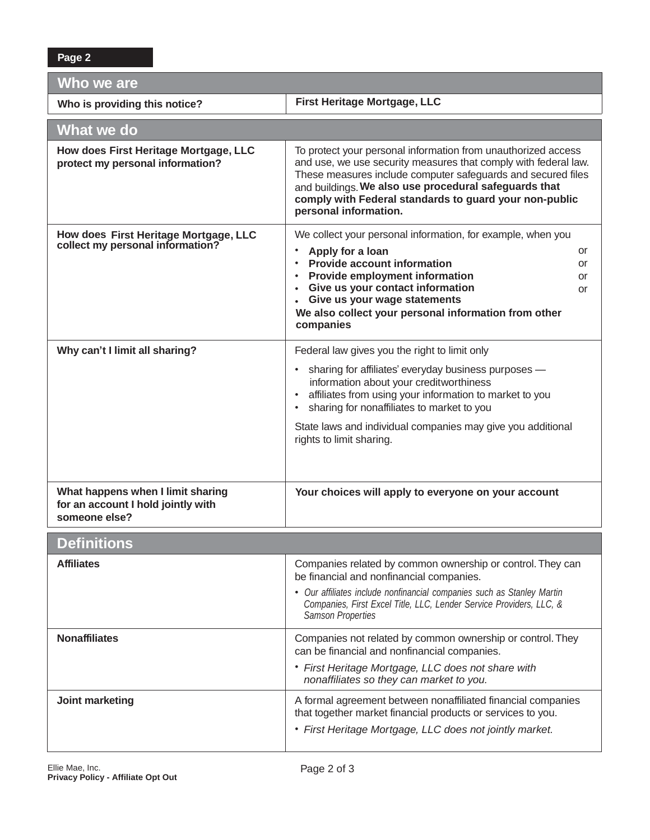| Who we are                                                                               |                                                                                                                                                                                                                                                                                                                                                                                             |  |  |
|------------------------------------------------------------------------------------------|---------------------------------------------------------------------------------------------------------------------------------------------------------------------------------------------------------------------------------------------------------------------------------------------------------------------------------------------------------------------------------------------|--|--|
| Who is providing this notice?                                                            | First Heritage Mortgage, LLC                                                                                                                                                                                                                                                                                                                                                                |  |  |
| What we do                                                                               |                                                                                                                                                                                                                                                                                                                                                                                             |  |  |
| How does First Heritage Mortgage, LLC<br>protect my personal information?                | To protect your personal information from unauthorized access<br>and use, we use security measures that comply with federal law.<br>These measures include computer safeguards and secured files<br>and buildings. We also use procedural safeguards that<br>comply with Federal standards to guard your non-public<br>personal information.                                                |  |  |
| How does First Heritage Mortgage, LLC<br>collect my personal information?                | We collect your personal information, for example, when you<br>Apply for a loan<br>$\bullet$<br>or<br><b>Provide account information</b><br>$\bullet$<br>or<br>Provide employment information<br>$\bullet$<br>or<br>Give us your contact information<br>or<br>Give us your wage statements<br>$\bullet$<br>We also collect your personal information from other<br>companies                |  |  |
| Why can't I limit all sharing?                                                           | Federal law gives you the right to limit only<br>sharing for affiliates' everyday business purposes -<br>$\bullet$<br>information about your creditworthiness<br>affiliates from using your information to market to you<br>$\bullet$<br>sharing for nonaffiliates to market to you<br>$\bullet$<br>State laws and individual companies may give you additional<br>rights to limit sharing. |  |  |
| What happens when I limit sharing<br>for an account I hold jointly with<br>someone else? | Your choices will apply to everyone on your account                                                                                                                                                                                                                                                                                                                                         |  |  |
| <b>Definitions</b>                                                                       |                                                                                                                                                                                                                                                                                                                                                                                             |  |  |
| <b>Affiliates</b>                                                                        | Companies related by common ownership or control. They can<br>be financial and nonfinancial companies.<br>• Our affiliates include nonfinancial companies such as Stanley Martin<br>Companies, First Excel Title, LLC, Lender Service Providers, LLC, &<br><b>Samson Properties</b>                                                                                                         |  |  |
| <b>Nonaffiliates</b>                                                                     | Companies not related by common ownership or control. They<br>can be financial and nonfinancial companies.<br>• First Heritage Mortgage, LLC does not share with<br>nonaffiliates so they can market to you.                                                                                                                                                                                |  |  |
| Joint marketing                                                                          | A formal agreement between nonaffiliated financial companies<br>that together market financial products or services to you.<br>• First Heritage Mortgage, LLC does not jointly market.                                                                                                                                                                                                      |  |  |